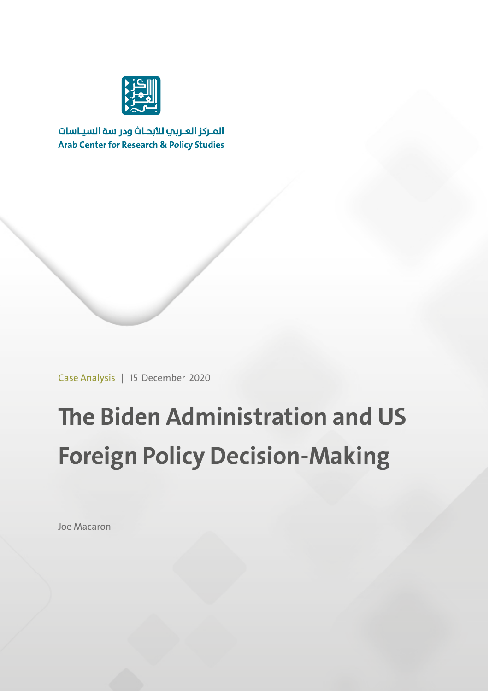

المركز العربب للأبحاث ودراسة السياسات **Arab Center for Research & Policy Studies** 

Case Analysis | 15 December 2020

# **The Biden Administration and US Foreign Policy Decision-Making**

Joe Macaron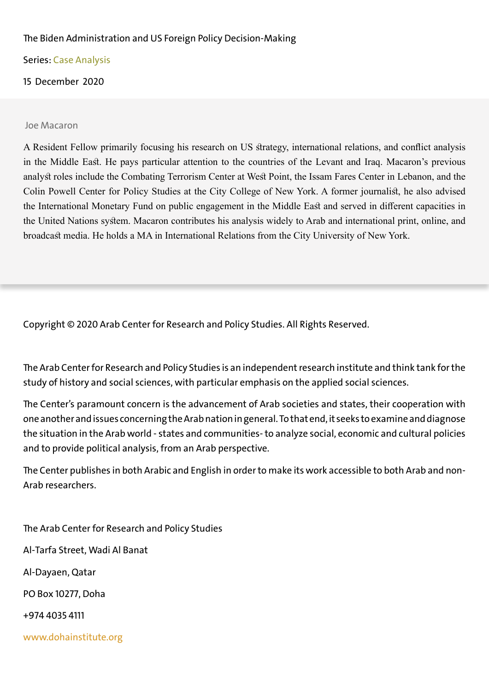#### The Biden Administration and US Foreign Policy Decision-Making

Series: Case Analysis

15 December 2020

Joe Macaron

A Resident Fellow primarily focusing his research on US strategy, international relations, and conflict analysis in the Middle East. He pays particular attention to the countries of the Levant and Iraq. Macaron's previous analyst roles include the Combating Terrorism Center at West Point, the Issam Fares Center in Lebanon, and the Colin Powell Center for Policy Studies at the City College of New York. A former journalist, he also advised the International Monetary Fund on public engagement in the Middle East and served in different capacities in the United Nations system. Macaron contributes his analysis widely to Arab and international print, online, and broadcast media. He holds a MA in International Relations from the City University of New York.

Copyright © 2020 Arab Center for Research and Policy Studies. All Rights Reserved.

The Arab Center for Research and Policy Studies is an independent research institute and think tank for the study of history and social sciences, with particular emphasis on the applied social sciences.

The Center's paramount concern is the advancement of Arab societies and states, their cooperation with one another and issues concerning the Arab nation in general.To that end, it seeks to examine and diagnose the situation in the Arab world - states and communities- to analyze social, economic and cultural policies and to provide political analysis, from an Arab perspective.

The Center publishes in both Arabic and English in order to make its work accessible to both Arab and non-Arab researchers.

The Arab Center for Research and Policy Studies Al-Tarfa Street, Wadi Al Banat Al-Dayaen, Qatar PO Box 10277, Doha +974 4035 4111 www.dohainstitute.org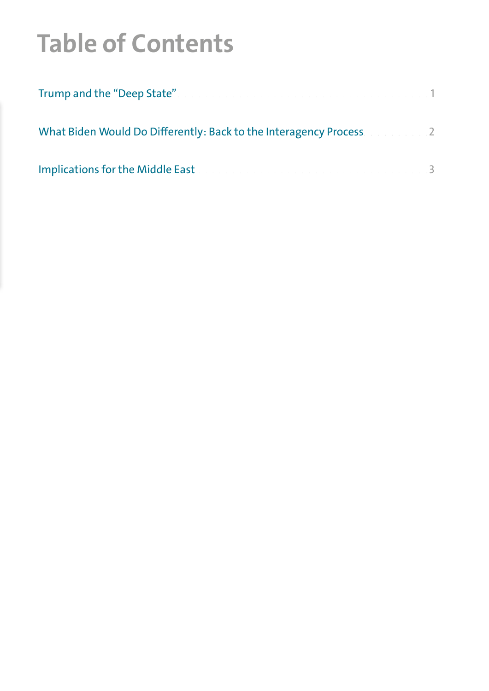## **Table of Contents**

| Trump and the "Deep State". The contract of the contract of the contract of the 1 |  |
|-----------------------------------------------------------------------------------|--|
| What Biden Would Do Differently: Back to the Interagency Process. And a set 2     |  |
| Implications for the Middle East and a construction of the construction of the    |  |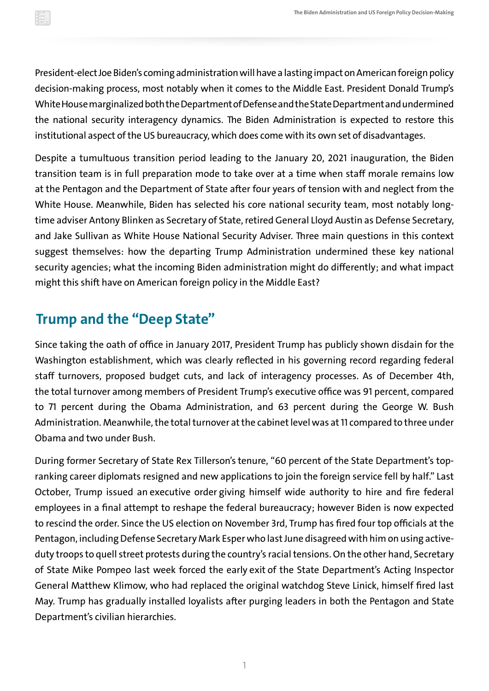<span id="page-3-0"></span>President-elect Joe Biden's coming administration will have a lasting impact on American foreign policy decision-making process, most notably when it comes to the Middle East. President Donald Trump's White House marginalized both the Department of Defense and the State Department and undermined the national security interagency dynamics. The Biden Administration is expected to restore this institutional aspect of the US bureaucracy, which does come with its own set of disadvantages.

Despite a tumultuous transition period leading to the January 20, 2021 inauguration, the Biden transition team is in full preparation mode to take over at a time when staff morale remains low at the Pentagon and the Department of State after four years of tension with and neglect from the White House. Meanwhile, Biden has selected his core national security team, most notably longtime adviser Antony Blinken as Secretary of State, retired General Lloyd Austin as Defense Secretary, and Jake Sullivan as White House National Security Adviser. Three main questions in this context suggest themselves: how the departing Trump Administration undermined these key national security agencies; what the incoming Biden administration might do differently; and what impact might this shift have on American foreign policy in the Middle East?

### **Trump and the "Deep State"**

Since taking the oath of office in January 2017, President Trump has publicly shown disdain for the Washington establishment, which was clearly reflected in his governing record regarding federal staff turnovers, proposed budget cuts, and lack of interagency processes. As of December 4th, thetota[l](https://www.brookings.edu/research/tracking-turnover-in-the-trump-administration/) t[urnover among mem](https://www.brookings.edu/research/tracking-turnover-in-the-trump-administration/)bers of President Trump's executive office was 91 percent, compared to 71 percent during the Obama Administration, and 63 percent during the George W. Bush Administration. Meanwhile, the total turnover at the cabinet level was at 11 compared to three under Obama and two under Bush.

During former Secretary of State Rex Tillerson'sten[ure,](https://www.vox.com/world/2018/3/13/16029526/rex-tillerson-fired-state-department) "60 percent of the State Department's topranking career diplomats resigned and new applications to join the foreign service fell by half." Last October, Trump issued an e[xecutive order gi](https://www.nytimes.com/2020/10/22/us/politics/trump-executive-order-federal-workers.html)ving himself wide authority to hire and fire federal employees in a final attempt to reshape the federal bureaucracy; however Biden is now expected to rescind the order. Since the US election on November 3rd, Trump has [fired](https://www.npr.org/2020/11/09/933105262/trump-terminates-secretary-of-defense-mark-esper) four top officials at the Pentagon, including Defense Secretary Mark Esper who last June disagreed with him on using activeduty troops to quell street protests during the country's racial tensions. On the other hand, Secretary of State Mike Pompeo last week forced the early e[xit o](https://www.cnn.com/2020/12/10/politics/susan-pompeo-watchdog-report/index.html)f the State Department's Acting Inspector General Matthew Klimow, who had replaced the original watchdog Steve Linick, himself fired last May. Trump has gradually installed loyalists after purging leaders in both the Pentagon and State Department's civilian hierarchies.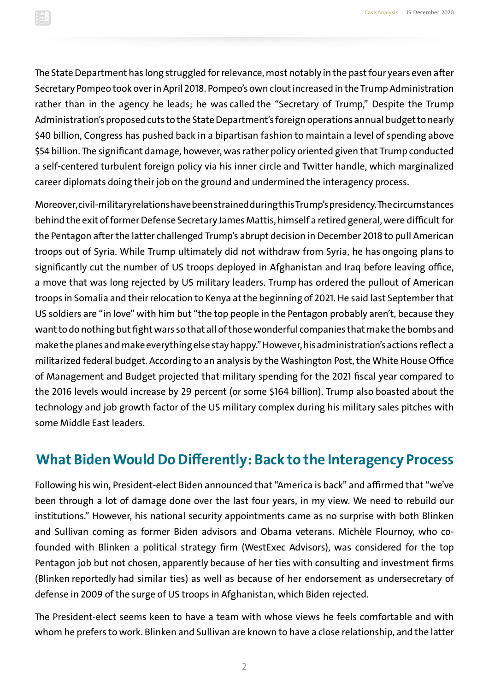<span id="page-4-0"></span>The State Department has long struggled for relevance, most notably in the past four years even after Secretary Pompeo took over in April 2018. Pompeo's own clout increased in the Trump Administration rather than in the agency he leads; he was called the "Secretary of Trump," Despite the Trump Administration's proposed cuts to the State Department's foreign operations annual budget to nearly \$40 billion, Congress has pushed back in a bipartisan fashion to maintain a level of spending above \$54 billion. The significant damage, however, was rather policy oriented given that Trump conducted a self-centered turbulent foreign policy via his inner circle and Twitter handle, which marginalized career diplomats doing their job on the ground and undermined the interagency process.

Moreover, civil-military relations have been strained during this Trump's presidency. The circumstances behind the exit of former Defense Secretary James Mattis, himself a retired general, were di[fficult](https://time.com/5486552/james-mattis-resignation-pentagon/) for the Pentagon after the latter challenged Trump's abrupt decision in December 2018 to pull American troops out of Syria. While Trump ultimately did not withdraw from Syria, he has ongoing [plans to](https://www.nytimes.com/2020/11/16/us/politics/trump-troop-withdrawal-afghanistan-somalia-iraq.html)  significantly cut the number of US troops deployed in Afghanistan and Iraq before leaving office, a move that was long rejected by US military leaders. Trump [has ordered t](https://www.vox.com/2020/12/5/22156107/somalia-troops-withdraw-trump)he pullout of American troops in Somalia and their relocation to Kenya at the beginning of 2021.Hesai[d l](https://abcnews.go.com/Politics/wireStory/trump-pentagon-leaders-war-contractors-happy-72870085)ast [S](https://abcnews.go.com/Politics/wireStory/trump-pentagon-leaders-war-contractors-happy-72870085)eptember that US soldiers are "in love" with him but "the top people in the Pentagon probably aren't, because they want to do nothing but fight wars so that all of those wonderful companies that make the bombs and make the planes and make everything else stay happy."However,his administration's actions re[flect a](http://arabcenterdc.org/policy_analyses/trumps-defense-budget/)  militarized federal budget. According to an analysis by the Washington Post, the White House Office of Management and Budget projected that military spending for the 2021 fiscal year compared to the 2016 levels would increase by 29 percent (or some \$164 billion). Trump also [boasted a](https://www.nytimes.com/2018/03/20/us/politics/saudi-crown-prince-arrives-at-white-house-to-meet-with-trump.html)bout the technology and job growth factor of the US military complex during his military sales pitches with some Middle East leaders.

#### **What Biden Would Do Differently: Back to the Interagency Process**

Following his win, President-elect Biden anno[unced t](https://www.bloomberg.com/news/articles/2020-11-17/biden-to-recieve-briefing-from-national-security-experts)hat "America is back" and affirmed that "we've been through a lot of damage done over the last four years, in my view. We need to rebuild our institutions." However, his national security appointments came as no surprise with both Blinken and Sullivan coming as former Biden advisors and Obama veterans. Michèle Flournoy, who cofounded with Blinken a political strategy firm ([WestExec Advisors](https://westexec.com/michele-flournoy/)), was considered for the top Pentagon job but not chosen, [apparently](https://www.nytimes.com/2020/12/08/us/politics/michele-flournoy-defense-secretary.html) because of her ties with consulting and investment firms (Blinken re[portedly](https://www.cnbc.com/2020/12/10/biden-secretary-of-state-pick-blinken-linked-to-fund-with-national-security-portfolio.html) had similar ties) as well as because of her endorsement as undersecretary of defense in 2009 of the surge of US troops in Afghanistan, which Biden rejected.

The President-elect seems keen to have a team with whose views he feels comfortable and with whom he prefers to work. Blinken and Sullivan are known to have a close relationship, and the latter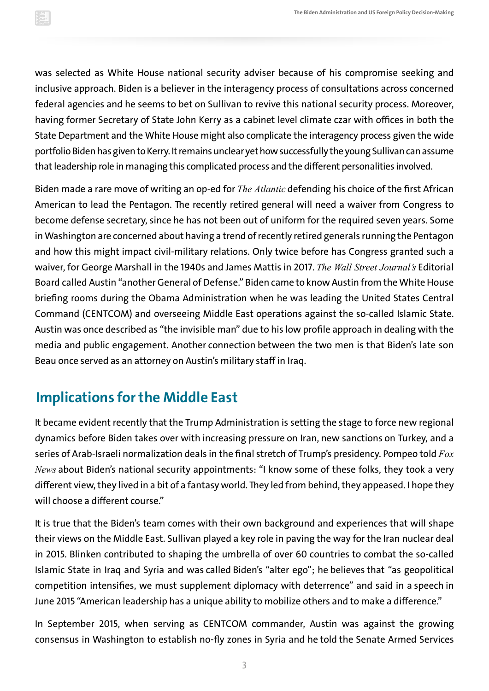<span id="page-5-0"></span>was selected as White House national security adviser because of his compromise seeking and inclusive approach. Biden is a believer in the interagency process of consultations across concerned federal agencies and he seems to bet on Sullivan to revive this national security process. Moreover, having former Secretary of State John Kerry as a cabinet level climate czar with offices in both the State Department and the White House might also complicate the interagency process given the wide portfolio Biden has given to Kerry. It remains unclear yet how successfully the young Sullivan can assume that leadership role in managing this complicated process and the different personalities involved.

Biden made a rare move of writing an op-ed for *[The Atlantic](https://www.theatlantic.com/ideas/archive/2020/12/secretary-defense/617330/)* defending his choice of the first African American to lead the Pentagon. The recently retired general will need a waiver from Congress to become defense secretary, since he has not been out of uniform for the required seven years. Some in Washington are concerned about having a trend of recently retired generals running the Pentagon and how this might impact civil-military relations. Only twice before has Congress granted such a waiver, for George Marshall in the 1940s and James Mattis in 2017. *The Wall Street Journal's* Editorial Board called Austin "another General of Defense." Biden came to know Austin from the White House briefing rooms during the Obama Administration when he was leading the United States Central Command (CENTCOM) and overseeing Middle East operations against the so-called Islamic State. Austin was once descri[bed as](https://takingnote.blogs.nytimes.com/2014/09/09/at-the-helm-of-military-mission-in-iraq-an-invisible-general/?_php=true&_type=blogs&_php=true&_type=blogs&_r=1) "the invisible man" due to his low profile approach in dealing with the media and public engagement. Another connection between the two men is that Biden's late son Beau once served as an attorney on Austin's military staff in Iraq.

### **Implications for the Middle East**

It became evident recently that the Trump Administration is setting the stage to force new regional dynamics before Biden takes over with [incr](https://www.reuters.com/article/usa-iran-sanctions-int/u-s-imposes-sweeping-sanctions-on-iran-targets-khamenei-linked-foundation-idUSKBN27Y262)e[asing pressure on](https://www.reuters.com/article/usa-iran-sanctions-int/u-s-imposes-sweeping-sanctions-on-iran-targets-khamenei-linked-foundation-idUSKBN27Y262) Iran, [n](https://www.france24.com/en/live-news/20201214-us-slaps-sanctions-on-turkey-over-russian-arms-purchase)e[w sanctions on](https://www.france24.com/en/live-news/20201214-us-slaps-sanctions-on-turkey-over-russian-arms-purchase) Turkey, and a series of Arab-Israeli normali[zation deals in t](https://www.nytimes.com/2020/12/10/world/middleeast/israel-morocco-trump.html)he final stretch of Trump's presidency. Pompeo told *Fox News* about Biden's national security appointments: "I know some of these folks, they took a very different view, they lived in a bit of a fantasy world. They led from behind, they appeased. I hope they will choose a different course."

It is true that the Biden's team comes with their own background and experiences that will shape their views on the Middle East. Sullivan played a key role in paving the way for the Iran nuclear deal in 2015. Blinken contributed to shaping the umbrella of over 60 countries to combat the so-called Islamic State in Iraq and Syria and was called Biden's "alter ego"; he [believes t](https://www.brookings.edu/blog/order-from-chaos/2019/01/04/america-first-is-only-making-the-world-worse-heres-a-better-approach/)hat "as geopolitical competition intensifies, we must supplement diplomacy with deterrence" and said in a s[peech](https://2009-2017.state.gov/s/d/2015/244421.htm) in June 2015 "American leadership has a unique ability to mobilize others and to make a difference."

In September 2015, when serving as CENTCOM commander, Austin was against the growing consensus in Washington to establish no-fly zones in Syria and heto[ld](https://thehill.com/policy/defense/255837-bipartisan-push-grows-for-no-fly-zones-in-syria) the Senate Armed Services